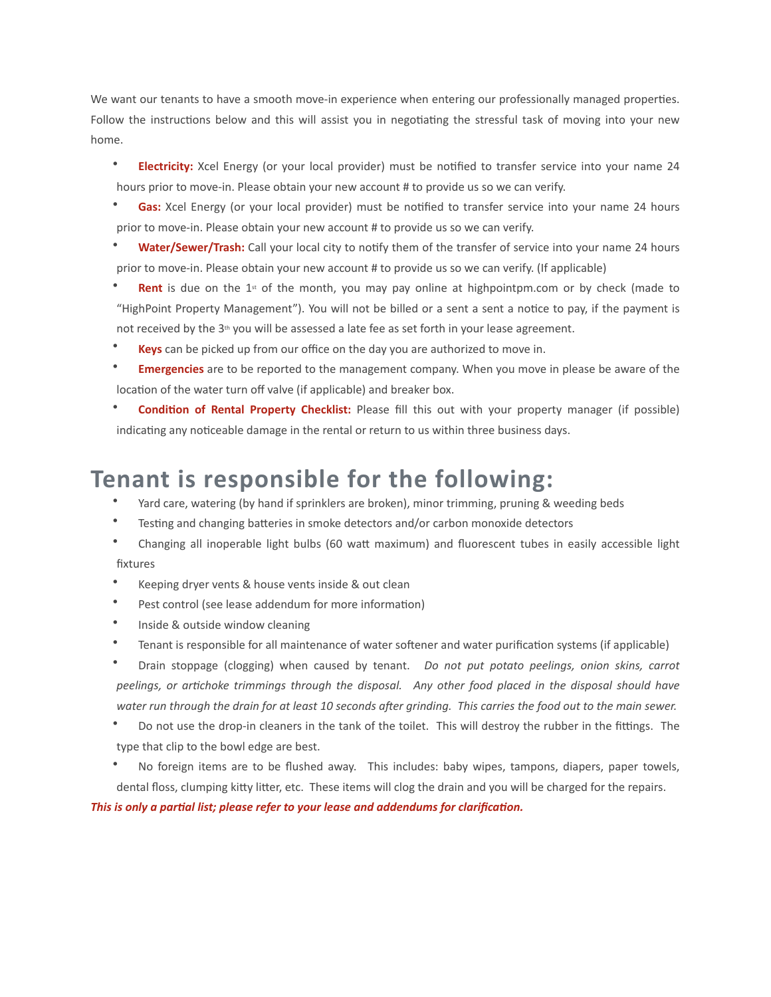We want our tenants to have a smooth move-in experience when entering our professionally managed properties. Follow the instructions below and this will assist you in negotiating the stressful task of moving into your new home.

- Electricity: Xcel Energy (or your local provider) must be notified to transfer service into your name 24 hours prior to move-in. Please obtain your new account # to provide us so we can verify.
- Gas: Xcel Energy (or your local provider) must be notified to transfer service into your name 24 hours prior to move-in. Please obtain your new account # to provide us so we can verify.
- Water/Sewer/Trash: Call your local city to notify them of the transfer of service into your name 24 hours prior to move-in. Please obtain your new account # to provide us so we can verify. (If applicable)
- **Rent** is due on the  $1^{\alpha}$  of the month, you may pay online at highpointpm.com or by check (made to "HighPoint Property Management"). You will not be billed or a sent a sent a notice to pay, if the payment is not received by the 3<sup>th</sup> you will be assessed a late fee as set forth in your lease agreement.
- **Keys** can be picked up from our office on the day you are authorized to move in.
- **Emergencies** are to be reported to the management company. When you move in please be aware of the location of the water turn off valve (if applicable) and breaker box.
- **Condition of Rental Property Checklist:** Please fill this out with your property manager (if possible) indicating any noticeable damage in the rental or return to us within three business days.

## **Tenant is responsible for the following:**

- Yard care, watering (by hand if sprinklers are broken), minor trimming, pruning & weeding beds
- Testing and changing batteries in smoke detectors and/or carbon monoxide detectors
- Changing all inoperable light bulbs (60 watt maximum) and fluorescent tubes in easily accessible light fixtures
- Keeping dryer vents & house vents inside & out clean
- Pest control (see lease addendum for more information)
- Inside & outside window cleaning
- Tenant is responsible for all maintenance of water softener and water purification systems (if applicable)

• Drain stoppage (clogging) when caused by tenant. Do not put potato peelings, onion skins, carrot peelings, or artichoke trimmings through the disposal. Any other food placed in the disposal should have water run through the drain for at least 10 seconds after grinding. This carries the food out to the main sewer.

Do not use the drop-in cleaners in the tank of the toilet. This will destroy the rubber in the fittings. The type that clip to the bowl edge are best.

No foreign items are to be flushed away. This includes: baby wipes, tampons, diapers, paper towels, dental floss, clumping kitty litter, etc. These items will clog the drain and you will be charged for the repairs.

This is only a partial list; please refer to your lease and addendums for clarification.